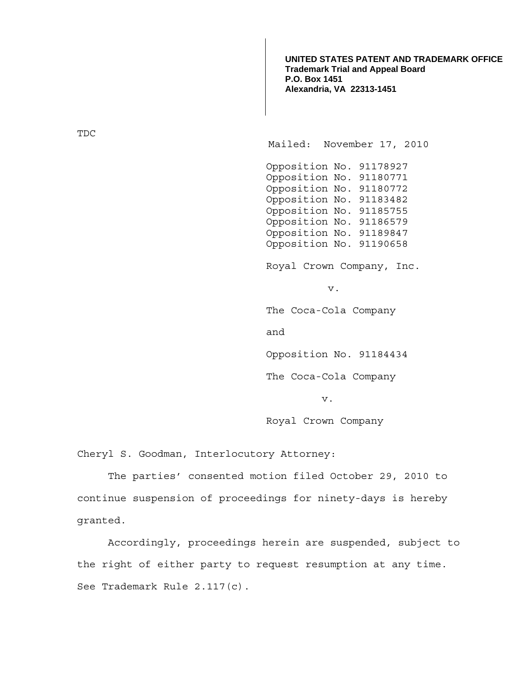**UNITED STATES PATENT AND TRADEMARK OFFICE Trademark Trial and Appeal Board P.O. Box 1451 Alexandria, VA 22313-1451**

TDC

Mailed: November 17, 2010

Opposition No. 91178927 Opposition No. 91180771 Opposition No. 91180772 Opposition No. 91183482 Opposition No. 91185755 Opposition No. 91186579 Opposition No. 91189847 Opposition No. 91190658

Royal Crown Company, Inc.

v.

The Coca-Cola Company

and

Opposition No. 91184434

The Coca-Cola Company

v.

Royal Crown Company

Cheryl S. Goodman, Interlocutory Attorney:

The parties' consented motion filed October 29, 2010 to continue suspension of proceedings for ninety-days is hereby granted.

 Accordingly, proceedings herein are suspended, subject to the right of either party to request resumption at any time. See Trademark Rule 2.117(c).